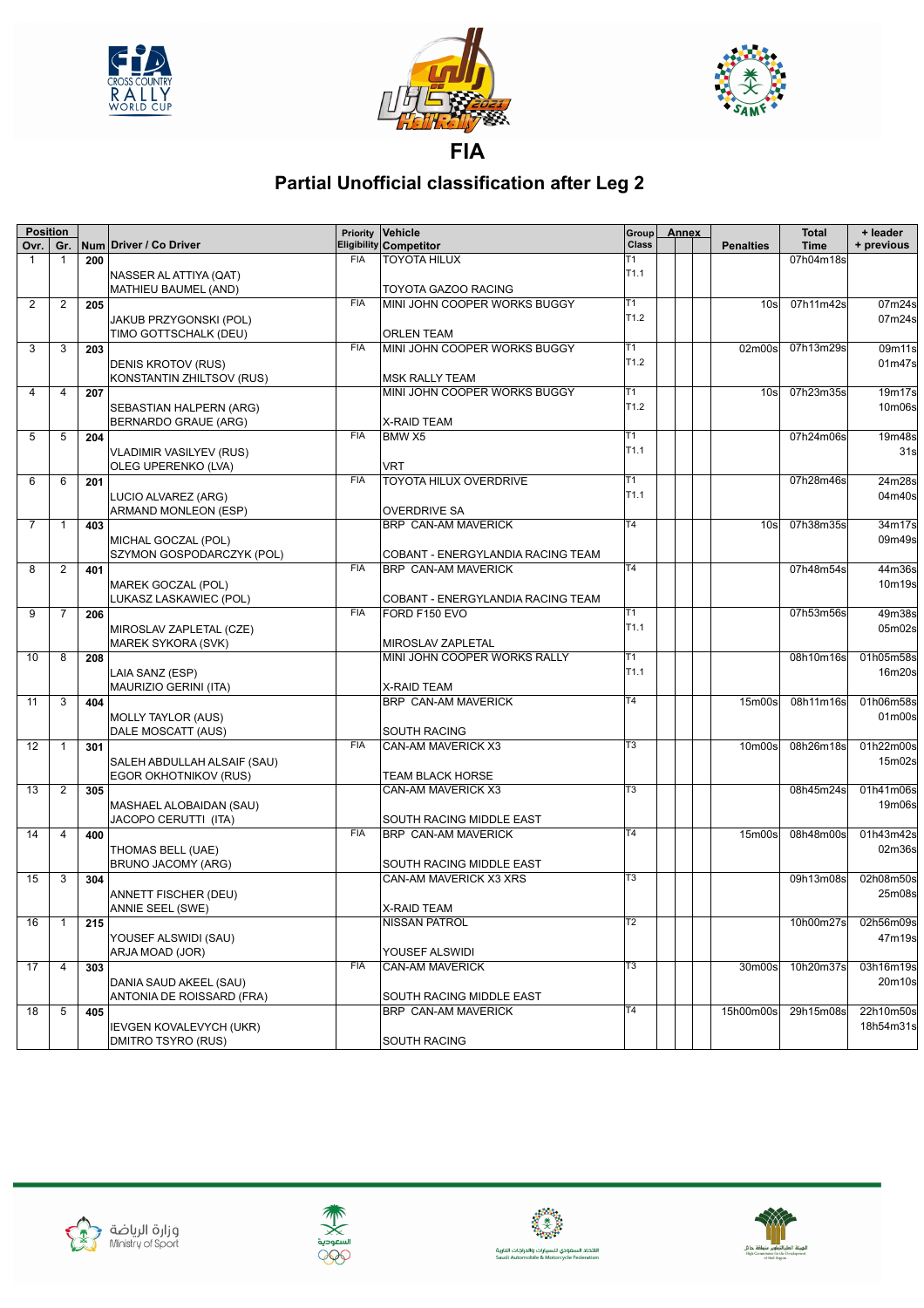





**Partial Unofficial classification after Leg 2**

| <b>Position</b> |                |     |                                                       | <b>Priority</b> | Vehicle                                               | Group                  | Annex |                                 | <b>Total</b> | + leader   |
|-----------------|----------------|-----|-------------------------------------------------------|-----------------|-------------------------------------------------------|------------------------|-------|---------------------------------|--------------|------------|
| Ovr.            | Gr.            |     | Num Driver / Co Driver                                |                 | Eligibility Competitor                                | <b>Class</b>           |       | <b>Penalties</b>                | <b>Time</b>  | + previous |
| $\mathbf{1}$    | 1              | 200 |                                                       | <b>FIA</b>      | <b>TOYOTA HILUX</b>                                   | Т1<br>T <sub>1.1</sub> |       |                                 | 07h04m18s    |            |
|                 |                |     | NASSER AL ATTIYA (QAT)                                |                 |                                                       |                        |       |                                 |              |            |
|                 |                |     | MATHIEU BAUMEL (AND)                                  | <b>FIA</b>      | TOYOTA GAZOO RACING                                   | T1                     |       |                                 |              | 07m24s     |
| 2               | $\overline{2}$ | 205 |                                                       |                 | MINI JOHN COOPER WORKS BUGGY                          | T <sub>1.2</sub>       |       | 10 <sub>s</sub>                 | 07h11m42s    |            |
|                 |                |     | JAKUB PRZYGONSKI (POL)                                |                 |                                                       |                        |       |                                 |              | 07m24s     |
|                 |                |     | TIMO GOTTSCHALK (DEU)                                 | <b>FIA</b>      | <b>ORLEN TEAM</b>                                     | T1                     |       |                                 | 07h13m29s    |            |
| 3               | 3              | 203 |                                                       |                 | MINI JOHN COOPER WORKS BUGGY                          | T <sub>1.2</sub>       |       | 02m00s                          |              | 09m11s     |
|                 |                |     | DENIS KROTOV (RUS)<br>KONSTANTIN ZHILTSOV (RUS)       |                 |                                                       |                        |       |                                 |              | 01m47s     |
| 4               | 4              |     |                                                       |                 | <b>MSK RALLY TEAM</b><br>MINI JOHN COOPER WORKS BUGGY | T1                     |       | 10 <sub>s</sub>                 | 07h23m35s    | 19m17s     |
|                 |                | 207 |                                                       |                 |                                                       | T <sub>1.2</sub>       |       |                                 |              | 10m06s     |
|                 |                |     | SEBASTIAN HALPERN (ARG)<br>BERNARDO GRAUE (ARG)       |                 | <b>X-RAID TEAM</b>                                    |                        |       |                                 |              |            |
| 5               | 5              | 204 |                                                       | <b>FIA</b>      | BMW X5                                                | Т1                     |       |                                 | 07h24m06s    | 19m48s     |
|                 |                |     |                                                       |                 |                                                       | T <sub>1.1</sub>       |       |                                 |              | 31s        |
|                 |                |     | <b>VLADIMIR VASILYEV (RUS)</b><br>OLEG UPERENKO (LVA) |                 | VRT                                                   |                        |       |                                 |              |            |
| 6               | 6              | 201 |                                                       | <b>FIA</b>      | TOYOTA HILUX OVERDRIVE                                | Τ1                     |       |                                 | 07h28m46s    | 24m28s     |
|                 |                |     |                                                       |                 |                                                       | T <sub>1.1</sub>       |       |                                 |              | 04m40s     |
|                 |                |     | LUCIO ALVAREZ (ARG)<br>ARMAND MONLEON (ESP)           |                 | <b>OVERDRIVE SA</b>                                   |                        |       |                                 |              |            |
| $\overline{7}$  | $\mathbf 1$    | 403 |                                                       |                 | <b>BRP CAN-AM MAVERICK</b>                            | $\overline{14}$        |       | 10 <sub>s</sub>                 | 07h38m35s    | 34m17s     |
|                 |                |     | MICHAL GOCZAL (POL)                                   |                 |                                                       |                        |       |                                 |              | 09m49s     |
|                 |                |     | SZYMON GOSPODARCZYK (POL)                             |                 | COBANT - ENERGYLANDIA RACING TEAM                     |                        |       |                                 |              |            |
| 8               | $\overline{c}$ | 401 |                                                       | <b>FIA</b>      | <b>BRP CAN-AM MAVERICK</b>                            | $\overline{14}$        |       |                                 | 07h48m54s    | 44m36s     |
|                 |                |     | MAREK GOCZAL (POL)                                    |                 |                                                       |                        |       |                                 |              | 10m19s     |
|                 |                |     | LUKASZ LASKAWIEC (POL)                                |                 | COBANT - ENERGYLANDIA RACING TEAM                     |                        |       |                                 |              |            |
| 9               | 7              | 206 |                                                       | <b>FIA</b>      | FORD F150 EVO                                         | Τ1                     |       |                                 | 07h53m56s    | 49m38s     |
|                 |                |     | MIROSLAV ZAPLETAL (CZE)                               |                 |                                                       | T <sub>1.1</sub>       |       |                                 |              | 05m02s     |
|                 |                |     | MAREK SYKORA (SVK)                                    |                 | MIROSLAV ZAPLETAL                                     |                        |       |                                 |              |            |
| 10              | 8              | 208 |                                                       |                 | MINI JOHN COOPER WORKS RALLY                          | T1                     |       |                                 | 08h10m16s    | 01h05m58s  |
|                 |                |     | LAIA SANZ (ESP)                                       |                 |                                                       | T <sub>1.1</sub>       |       |                                 |              | 16m20s     |
|                 |                |     | MAURIZIO GERINI (ITA)                                 |                 | X-RAID TEAM                                           |                        |       |                                 |              |            |
| 11              | 3              | 404 |                                                       |                 | <b>BRP CAN-AM MAVERICK</b>                            | T <sub>4</sub>         |       | 15 <sub>m</sub> 00 <sub>s</sub> | 08h11m16s    | 01h06m58s  |
|                 |                |     | <b>MOLLY TAYLOR (AUS)</b>                             |                 |                                                       |                        |       |                                 |              | 01m00s     |
|                 |                |     | DALE MOSCATT (AUS)                                    |                 | <b>SOUTH RACING</b>                                   |                        |       |                                 |              |            |
| 12              | $\mathbf{1}$   | 301 |                                                       | <b>FIA</b>      | CAN-AM MAVERICK X3                                    | T <sub>3</sub>         |       | 10m00s                          | 08h26m18s    | 01h22m00s  |
|                 |                |     | SALEH ABDULLAH ALSAIF (SAU)                           |                 |                                                       |                        |       |                                 |              | 15m02s     |
|                 |                |     | EGOR OKHOTNIKOV (RUS)                                 |                 | TEAM BLACK HORSE                                      |                        |       |                                 |              |            |
| 13              | 2              | 305 |                                                       |                 | CAN-AM MAVERICK X3                                    | T3                     |       |                                 | 08h45m24s    | 01h41m06s  |
|                 |                |     | MASHAEL ALOBAIDAN (SAU)                               |                 |                                                       |                        |       |                                 |              | 19m06s     |
|                 |                |     | JACOPO CERUTTI (ITA)                                  |                 | SOUTH RACING MIDDLE EAST                              |                        |       |                                 |              |            |
| 14              | 4              | 400 |                                                       | <b>FIA</b>      | <b>BRP CAN-AM MAVERICK</b>                            | T4                     |       | 15 <sub>m</sub> 00 <sub>s</sub> | 08h48m00s    | 01h43m42s  |
|                 |                |     | THOMAS BELL (UAE)                                     |                 |                                                       |                        |       |                                 |              | 02m36s     |
|                 |                |     | <b>BRUNO JACOMY (ARG)</b>                             |                 | SOUTH RACING MIDDLE EAST                              |                        |       |                                 |              |            |
| 15              | 3              | 304 |                                                       |                 | CAN-AM MAVERICK X3 XRS                                | T3                     |       |                                 | 09h13m08s    | 02h08m50s  |
|                 |                |     | ANNETT FISCHER (DEU)                                  |                 |                                                       |                        |       |                                 |              | 25m08s     |
|                 |                |     | ANNIE SEEL (SWE)                                      |                 | <b>X-RAID TEAM</b>                                    |                        |       |                                 |              |            |
| 16              | $\mathbf{1}$   | 215 |                                                       |                 | <b>NISSAN PATROL</b>                                  | Т2                     |       |                                 | 10h00m27s    | 02h56m09s  |
|                 |                |     | YOUSEF ALSWIDI (SAU)                                  |                 |                                                       |                        |       |                                 |              | 47m19s     |
|                 |                |     | ARJA MOAD (JOR)                                       |                 | YOUSEF ALSWIDI                                        |                        |       |                                 |              |            |
| 17              | 4              | 303 |                                                       | <b>FIA</b>      | CAN-AM MAVERICK                                       | T3                     |       | 30m00s                          | 10h20m37s    | 03h16m19s  |
|                 |                |     | DANIA SAUD AKEEL (SAU)                                |                 |                                                       |                        |       |                                 |              | 20m10s     |
|                 |                |     | ANTONIA DE ROISSARD (FRA)                             |                 | SOUTH RACING MIDDLE EAST                              |                        |       |                                 |              |            |
| 18              | 5              | 405 |                                                       |                 | <b>BRP CAN-AM MAVERICK</b>                            | T4                     |       | 15h00m00s                       | 29h15m08s    | 22h10m50s  |
|                 |                |     | <b>IEVGEN KOVALEVYCH (UKR)</b>                        |                 |                                                       |                        |       |                                 |              | 18h54m31s  |
|                 |                |     | DMITRO TSYRO (RUS)                                    |                 | SOUTH RACING                                          |                        |       |                                 |              |            |